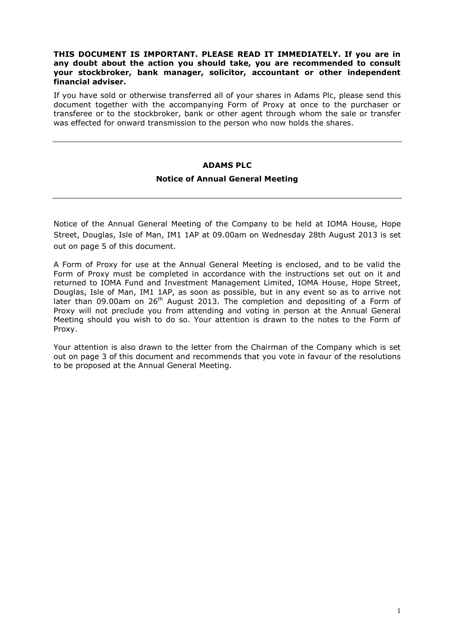## **THIS DOCUMENT IS IMPORTANT. PLEASE READ IT IMMEDIATELY. If you are in any doubt about the action you should take, you are recommended to consult your stockbroker, bank manager, solicitor, accountant or other independent financial adviser.**

If you have sold or otherwise transferred all of your shares in Adams Plc, please send this document together with the accompanying Form of Proxy at once to the purchaser or transferee or to the stockbroker, bank or other agent through whom the sale or transfer was effected for onward transmission to the person who now holds the shares.

### **ADAMS PLC**

#### **Notice of Annual General Meeting**

Notice of the Annual General Meeting of the Company to be held at IOMA House, Hope Street, Douglas, Isle of Man, IM1 1AP at 09.00am on Wednesday 28th August 2013 is set out on page 5 of this document.

A Form of Proxy for use at the Annual General Meeting is enclosed, and to be valid the Form of Proxy must be completed in accordance with the instructions set out on it and returned to IOMA Fund and Investment Management Limited, IOMA House, Hope Street, Douglas, Isle of Man, IM1 1AP, as soon as possible, but in any event so as to arrive not later than 09.00am on  $26<sup>th</sup>$  August 2013. The completion and depositing of a Form of Proxy will not preclude you from attending and voting in person at the Annual General Meeting should you wish to do so. Your attention is drawn to the notes to the Form of Proxy.

Your attention is also drawn to the letter from the Chairman of the Company which is set out on page 3 of this document and recommends that you vote in favour of the resolutions to be proposed at the Annual General Meeting.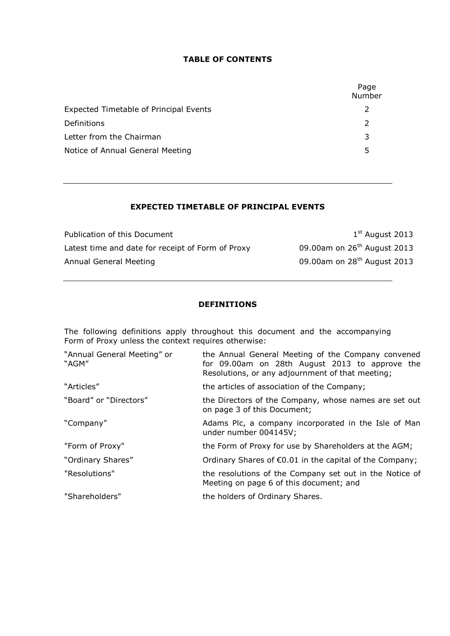#### **TABLE OF CONTENTS**

|                                        | Page<br>Number |
|----------------------------------------|----------------|
| Expected Timetable of Principal Events |                |
| Definitions                            |                |
| Letter from the Chairman               | 3              |
| Notice of Annual General Meeting       | 5              |

# **EXPECTED TIMETABLE OF PRINCIPAL EVENTS**

Publication of this Document Latest time and date for receipt of Form of Proxy 09.00am on 26<sup>th</sup> August 2013 Annual General Meeting 2013

 $1<sup>st</sup>$  August 2013

# **DEFINITIONS**

The following definitions apply throughout this document and the accompanying Form of Proxy unless the context requires otherwise:

| "Annual General Meeting" or<br>"AGM" | the Annual General Meeting of the Company convened<br>for 09.00am on 28th August 2013 to approve the<br>Resolutions, or any adjournment of that meeting; |
|--------------------------------------|----------------------------------------------------------------------------------------------------------------------------------------------------------|
| "Articles"                           | the articles of association of the Company;                                                                                                              |
| "Board" or "Directors"               | the Directors of the Company, whose names are set out<br>on page 3 of this Document;                                                                     |
| "Company"                            | Adams Plc, a company incorporated in the Isle of Man<br>under number 004145V;                                                                            |
| "Form of Proxy"                      | the Form of Proxy for use by Shareholders at the AGM;                                                                                                    |
| "Ordinary Shares"                    | Ordinary Shares of $\epsilon$ 0.01 in the capital of the Company;                                                                                        |
| "Resolutions"                        | the resolutions of the Company set out in the Notice of<br>Meeting on page 6 of this document; and                                                       |
| "Shareholders"                       | the holders of Ordinary Shares.                                                                                                                          |
|                                      |                                                                                                                                                          |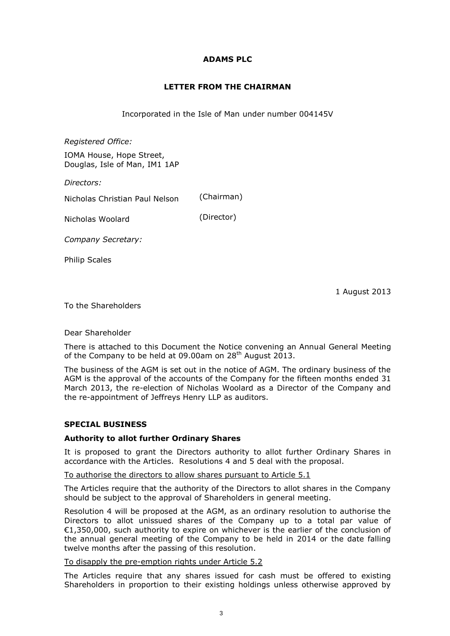## **ADAMS PLC**

# **LETTER FROM THE CHAIRMAN**

Incorporated in the Isle of Man under number 004145V

*Registered Office:*

IOMA House, Hope Street, Douglas, Isle of Man, IM1 1AP

*Directors:* 

Nicholas Christian Paul Nelson (Chairman)

Nicholas Woolard (Director)

*Company Secretary:*

Philip Scales

1 August 2013

To the Shareholders

### Dear Shareholder

There is attached to this Document the Notice convening an Annual General Meeting of the Company to be held at 09.00am on  $28<sup>th</sup>$  August 2013.

The business of the AGM is set out in the notice of AGM. The ordinary business of the AGM is the approval of the accounts of the Company for the fifteen months ended 31 March 2013, the re-election of Nicholas Woolard as a Director of the Company and the re-appointment of Jeffreys Henry LLP as auditors.

### **SPECIAL BUSINESS**

### **Authority to allot further Ordinary Shares**

It is proposed to grant the Directors authority to allot further Ordinary Shares in accordance with the Articles. Resolutions 4 and 5 deal with the proposal.

To authorise the directors to allow shares pursuant to Article 5.1

The Articles require that the authority of the Directors to allot shares in the Company should be subject to the approval of Shareholders in general meeting.

Resolution 4 will be proposed at the AGM, as an ordinary resolution to authorise the Directors to allot unissued shares of the Company up to a total par value of €1,350,000, such authority to expire on whichever is the earlier of the conclusion of the annual general meeting of the Company to be held in 2014 or the date falling twelve months after the passing of this resolution.

#### To disapply the pre-emption rights under Article 5.2

The Articles require that any shares issued for cash must be offered to existing Shareholders in proportion to their existing holdings unless otherwise approved by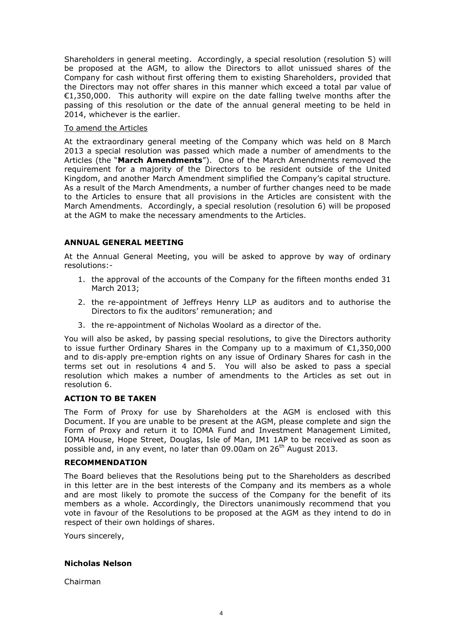Shareholders in general meeting. Accordingly, a special resolution (resolution 5) will be proposed at the AGM, to allow the Directors to allot unissued shares of the Company for cash without first offering them to existing Shareholders, provided that the Directors may not offer shares in this manner which exceed a total par value of €1,350,000. This authority will expire on the date falling twelve months after the passing of this resolution or the date of the annual general meeting to be held in 2014, whichever is the earlier.

#### To amend the Articles

At the extraordinary general meeting of the Company which was held on 8 March 2013 a special resolution was passed which made a number of amendments to the Articles (the "**March Amendments**"). One of the March Amendments removed the requirement for a majority of the Directors to be resident outside of the United Kingdom, and another March Amendment simplified the Company's capital structure. As a result of the March Amendments, a number of further changes need to be made to the Articles to ensure that all provisions in the Articles are consistent with the March Amendments. Accordingly, a special resolution (resolution 6) will be proposed at the AGM to make the necessary amendments to the Articles.

### **ANNUAL GENERAL MEETING**

At the Annual General Meeting, you will be asked to approve by way of ordinary resolutions:-

- 1. the approval of the accounts of the Company for the fifteen months ended 31 March 2013;
- 2. the re-appointment of Jeffreys Henry LLP as auditors and to authorise the Directors to fix the auditors' remuneration; and
- 3. the re-appointment of Nicholas Woolard as a director of the.

You will also be asked, by passing special resolutions, to give the Directors authority to issue further Ordinary Shares in the Company up to a maximum of €1,350,000 and to dis-apply pre-emption rights on any issue of Ordinary Shares for cash in the terms set out in resolutions 4 and 5. You will also be asked to pass a special resolution which makes a number of amendments to the Articles as set out in resolution 6.

### **ACTION TO BE TAKEN**

The Form of Proxy for use by Shareholders at the AGM is enclosed with this Document. If you are unable to be present at the AGM, please complete and sign the Form of Proxy and return it to IOMA Fund and Investment Management Limited, IOMA House, Hope Street, Douglas, Isle of Man, IM1 1AP to be received as soon as possible and, in any event, no later than 09.00am on 26<sup>th</sup> August 2013.

#### **RECOMMENDATION**

The Board believes that the Resolutions being put to the Shareholders as described in this letter are in the best interests of the Company and its members as a whole and are most likely to promote the success of the Company for the benefit of its members as a whole. Accordingly, the Directors unanimously recommend that you vote in favour of the Resolutions to be proposed at the AGM as they intend to do in respect of their own holdings of shares.

Yours sincerely,

### **Nicholas Nelson**

Chairman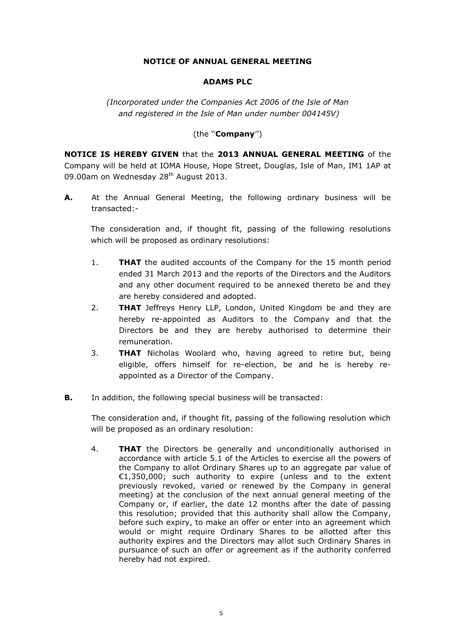# **NOTICE OF ANNUAL GENERAL MEETING**

## **ADAMS PLC**

*(Incorporated under the Companies Act 2006 of the Isle of Man and registered in the Isle of Man under number 004145V)*

# (the ''**Company**'')

**NOTICE IS HEREBY GIVEN** that the **2013 ANNUAL GENERAL MEETING** of the Company will be held at IOMA House, Hope Street, Douglas, Isle of Man, IM1 1AP at 09.00am on Wednesday 28<sup>th</sup> August 2013.

**A.** At the Annual General Meeting, the following ordinary business will be transacted:-

The consideration and, if thought fit, passing of the following resolutions which will be proposed as ordinary resolutions:

- 1. **THAT** the audited accounts of the Company for the 15 month period ended 31 March 2013 and the reports of the Directors and the Auditors and any other document required to be annexed thereto be and they are hereby considered and adopted.
- 2. **THAT** Jeffreys Henry LLP, London, United Kingdom be and they are hereby re-appointed as Auditors to the Company and that the Directors be and they are hereby authorised to determine their remuneration.
- 3. **THAT** Nicholas Woolard who, having agreed to retire but, being eligible, offers himself for re-election, be and he is hereby reappointed as a Director of the Company.
- **B.** In addition, the following special business will be transacted:

The consideration and, if thought fit, passing of the following resolution which will be proposed as an ordinary resolution:

4. **THAT** the Directors be generally and unconditionally authorised in accordance with article 5.1 of the Articles to exercise all the powers of the Company to allot Ordinary Shares up to an aggregate par value of €1,350,000; such authority to expire (unless and to the extent previously revoked, varied or renewed by the Company in general meeting) at the conclusion of the next annual general meeting of the Company or, if earlier, the date 12 months after the date of passing this resolution; provided that this authority shall allow the Company, before such expiry, to make an offer or enter into an agreement which would or might require Ordinary Shares to be allotted after this authority expires and the Directors may allot such Ordinary Shares in pursuance of such an offer or agreement as if the authority conferred hereby had not expired.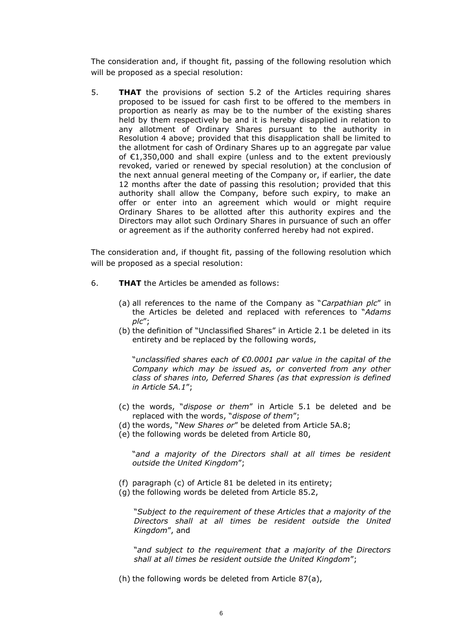The consideration and, if thought fit, passing of the following resolution which will be proposed as a special resolution:

5. **THAT** the provisions of section 5.2 of the Articles requiring shares proposed to be issued for cash first to be offered to the members in proportion as nearly as may be to the number of the existing shares held by them respectively be and it is hereby disapplied in relation to any allotment of Ordinary Shares pursuant to the authority in Resolution 4 above; provided that this disapplication shall be limited to the allotment for cash of Ordinary Shares up to an aggregate par value of €1,350,000 and shall expire (unless and to the extent previously revoked, varied or renewed by special resolution) at the conclusion of the next annual general meeting of the Company or, if earlier, the date 12 months after the date of passing this resolution; provided that this authority shall allow the Company, before such expiry, to make an offer or enter into an agreement which would or might require Ordinary Shares to be allotted after this authority expires and the Directors may allot such Ordinary Shares in pursuance of such an offer or agreement as if the authority conferred hereby had not expired.

The consideration and, if thought fit, passing of the following resolution which will be proposed as a special resolution:

- 6. **THAT** the Articles be amended as follows:
	- (a) all references to the name of the Company as "*Carpathian plc*" in the Articles be deleted and replaced with references to "*Adams plc*";
	- (b) the definition of "Unclassified Shares" in Article 2.1 be deleted in its entirety and be replaced by the following words,

"*unclassified shares each of €0.0001 par value in the capital of the Company which may be issued as, or converted from any other class of shares into, Deferred Shares (as that expression is defined in Article 5A.1*";

- (c) the words, "*dispose or them*" in Article 5.1 be deleted and be replaced with the words, "*dispose of them*";
- (d) the words, "*New Shares or*" be deleted from Article 5A.8;
- (e) the following words be deleted from Article 80,

"*and a majority of the Directors shall at all times be resident outside the United Kingdom*";

- (f) paragraph (c) of Article 81 be deleted in its entirety;
- (g) the following words be deleted from Article 85.2,

"*Subject to the requirement of these Articles that a majority of the Directors shall at all times be resident outside the United Kingdom*", and

"*and subject to the requirement that a majority of the Directors shall at all times be resident outside the United Kingdom*";

(h) the following words be deleted from Article 87(a),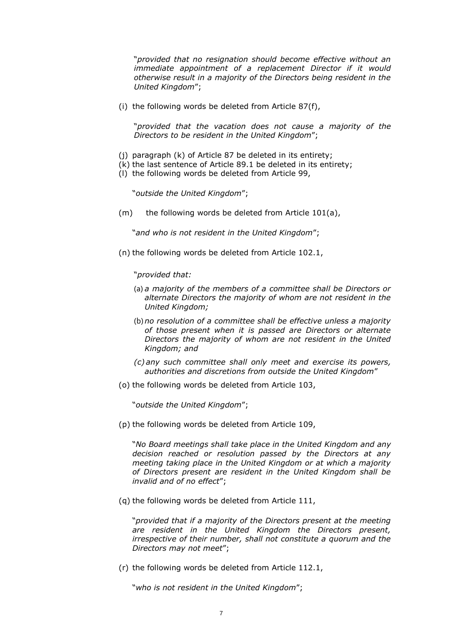"*provided that no resignation should become effective without an immediate appointment of a replacement Director if it would otherwise result in a majority of the Directors being resident in the United Kingdom*";

(i) the following words be deleted from Article 87(f),

"*provided that the vacation does not cause a majority of the Directors to be resident in the United Kingdom*";

- (j) paragraph (k) of Article 87 be deleted in its entirety;
- (k) the last sentence of Article 89.1 be deleted in its entirety;
- (l) the following words be deleted from Article 99,

"*outside the United Kingdom*";

(m) the following words be deleted from Article 101(a),

"*and who is not resident in the United Kingdom*";

(n) the following words be deleted from Article 102.1,

"*provided that:*

- (a) *a majority of the members of a committee shall be Directors or alternate Directors the majority of whom are not resident in the United Kingdom;*
- (b) *no resolution of a committee shall be effective unless a majority of those present when it is passed are Directors or alternate Directors the majority of whom are not resident in the United Kingdom; and*
- *(c) any such committee shall only meet and exercise its powers, authorities and discretions from outside the United Kingdom*"
- (o) the following words be deleted from Article 103,

"*outside the United Kingdom*";

(p) the following words be deleted from Article 109,

"*No Board meetings shall take place in the United Kingdom and any decision reached or resolution passed by the Directors at any meeting taking place in the United Kingdom or at which a majority of Directors present are resident in the United Kingdom shall be invalid and of no effect*";

(q) the following words be deleted from Article 111,

"*provided that if a majority of the Directors present at the meeting are resident in the United Kingdom the Directors present, irrespective of their number, shall not constitute a quorum and the Directors may not meet*";

(r) the following words be deleted from Article 112.1,

"*who is not resident in the United Kingdom*";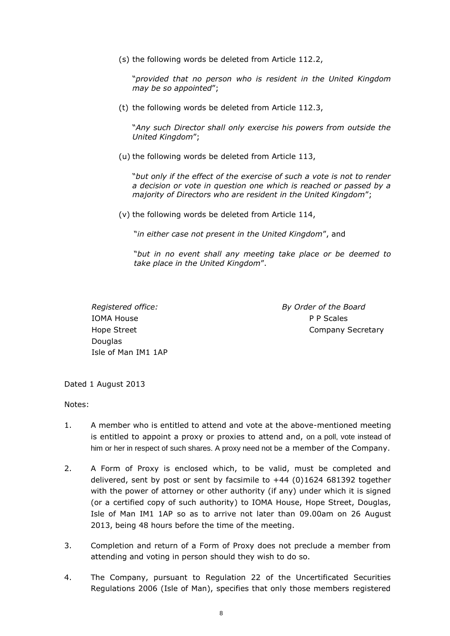(s) the following words be deleted from Article 112.2,

"*provided that no person who is resident in the United Kingdom may be so appointed*";

(t) the following words be deleted from Article 112.3,

"*Any such Director shall only exercise his powers from outside the United Kingdom*";

(u) the following words be deleted from Article 113,

"*but only if the effect of the exercise of such a vote is not to render a decision or vote in question one which is reached or passed by a majority of Directors who are resident in the United Kingdom*";

(v) the following words be deleted from Article 114,

"*in either case not present in the United Kingdom*", and

"*but in no event shall any meeting take place or be deemed to take place in the United Kingdom*".

IOMA House P P Scales Douglas Isle of Man IM1 1AP

*Registered office: By Order of the Board* Hope Street **Company Secretary** 

Dated 1 August 2013

Notes:

- 1. A member who is entitled to attend and vote at the above-mentioned meeting is entitled to appoint a proxy or proxies to attend and, on a poll, vote instead of him or her in respect of such shares. A proxy need not be a member of the Company.
- 2. A Form of Proxy is enclosed which, to be valid, must be completed and delivered, sent by post or sent by facsimile to +44 (0)1624 681392 together with the power of attorney or other authority (if any) under which it is signed (or a certified copy of such authority) to IOMA House, Hope Street, Douglas, Isle of Man IM1 1AP so as to arrive not later than 09.00am on 26 August 2013, being 48 hours before the time of the meeting.
- 3. Completion and return of a Form of Proxy does not preclude a member from attending and voting in person should they wish to do so.
- 4. The Company, pursuant to Regulation 22 of the Uncertificated Securities Regulations 2006 (Isle of Man), specifies that only those members registered